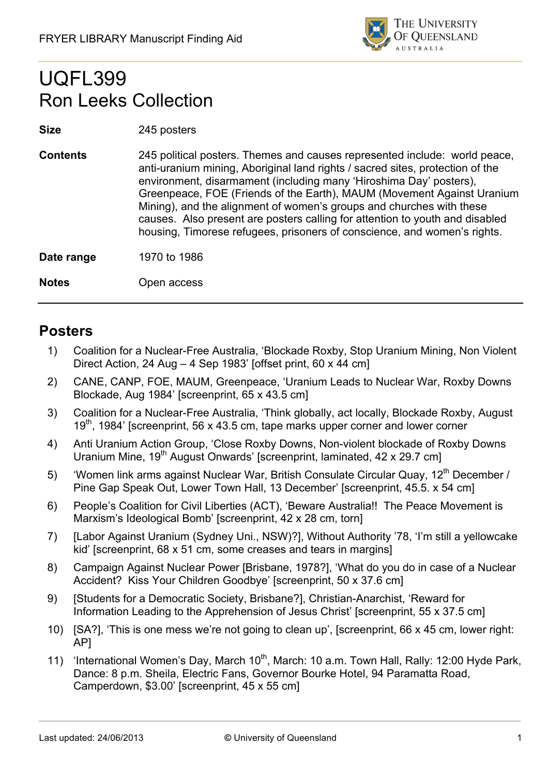

## UQFL399 Ron Leeks Collection

## **Size** 245 posters

**Contents** 245 political posters. Themes and causes represented include: world peace, anti-uranium mining, Aboriginal land rights / sacred sites, protection of the environment, disarmament (including many 'Hiroshima Day' posters), Greenpeace, FOE (Friends of the Earth), MAUM (Movement Against Uranium Mining), and the alignment of women's groups and churches with these causes. Also present are posters calling for attention to youth and disabled housing, Timorese refugees, prisoners of conscience, and women's rights.

**Date range** 1970 to 1986

## **Notes** Open access

## **Posters**

- 1) Coalition for a Nuclear-Free Australia, 'Blockade Roxby, Stop Uranium Mining, Non Violent Direct Action, 24 Aug – 4 Sep 1983' [offset print, 60 x 44 cm]
- 2) CANE, CANP, FOE, MAUM, Greenpeace, 'Uranium Leads to Nuclear War, Roxby Downs Blockade, Aug 1984' [screenprint, 65 x 43.5 cm]
- 3) Coalition for a Nuclear-Free Australia, 'Think globally, act locally, Blockade Roxby, August 19<sup>th</sup>, 1984' [screenprint, 56 x 43.5 cm, tape marks upper corner and lower corner
- 4) Anti Uranium Action Group, 'Close Roxby Downs, Non-violent blockade of Roxby Downs Uranium Mine, 19<sup>th</sup> August Onwards' [screenprint, laminated, 42 x 29.7 cm]
- 5) 'Women link arms against Nuclear War, British Consulate Circular Quay, 12<sup>th</sup> December / Pine Gap Speak Out, Lower Town Hall, 13 December' [screenprint, 45.5. x 54 cm]
- 6) People's Coalition for Civil Liberties (ACT), 'Beware Australia!! The Peace Movement is Marxism's Ideological Bomb' [screenprint, 42 x 28 cm, torn]
- 7) [Labor Against Uranium (Sydney Uni., NSW)?], Without Authority '78, 'I'm still a yellowcake kid' [screenprint, 68 x 51 cm, some creases and tears in margins]
- 8) Campaign Against Nuclear Power [Brisbane, 1978?], 'What do you do in case of a Nuclear Accident? Kiss Your Children Goodbye' [screenprint, 50 x 37.6 cm]
- 9) [Students for a Democratic Society, Brisbane?], Christian-Anarchist, 'Reward for Information Leading to the Apprehension of Jesus Christ' [screenprint, 55 x 37.5 cm]
- 10) [SA?], 'This is one mess we're not going to clean up', [screenprint, 66 x 45 cm, lower right: AP]
- 11) 'International Women's Day, March 10<sup>th</sup>, March: 10 a.m. Town Hall, Rally: 12:00 Hyde Park, Dance: 8 p.m. Sheila, Electric Fans, Governor Bourke Hotel, 94 Paramatta Road, Camperdown, \$3.00' [screenprint, 45 x 55 cm]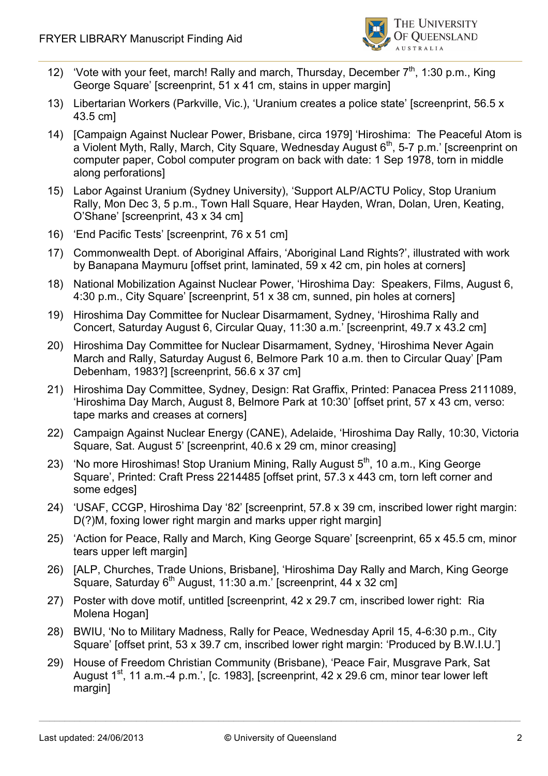

- 12) 'Vote with your feet, march! Rally and march, Thursday, December  $7<sup>th</sup>$ , 1:30 p.m., King George Square' [screenprint, 51 x 41 cm, stains in upper margin]
- 13) Libertarian Workers (Parkville, Vic.), 'Uranium creates a police state' [screenprint, 56.5 x 43.5 cm]
- 14) [Campaign Against Nuclear Power, Brisbane, circa 1979] 'Hiroshima: The Peaceful Atom is a Violent Myth, Rally, March, City Square, Wednesday August  $6<sup>th</sup>$ , 5-7 p.m.' [screenprint on computer paper, Cobol computer program on back with date: 1 Sep 1978, torn in middle along perforations]
- 15) Labor Against Uranium (Sydney University), 'Support ALP/ACTU Policy, Stop Uranium Rally, Mon Dec 3, 5 p.m., Town Hall Square, Hear Hayden, Wran, Dolan, Uren, Keating, O'Shane' [screenprint, 43 x 34 cm]
- 16) 'End Pacific Tests' [screenprint, 76 x 51 cm]
- 17) Commonwealth Dept. of Aboriginal Affairs, 'Aboriginal Land Rights?', illustrated with work by Banapana Maymuru [offset print, laminated, 59 x 42 cm, pin holes at corners]
- 18) National Mobilization Against Nuclear Power, 'Hiroshima Day: Speakers, Films, August 6, 4:30 p.m., City Square' [screenprint, 51 x 38 cm, sunned, pin holes at corners]
- 19) Hiroshima Day Committee for Nuclear Disarmament, Sydney, 'Hiroshima Rally and Concert, Saturday August 6, Circular Quay, 11:30 a.m.' [screenprint, 49.7 x 43.2 cm]
- 20) Hiroshima Day Committee for Nuclear Disarmament, Sydney, 'Hiroshima Never Again March and Rally, Saturday August 6, Belmore Park 10 a.m. then to Circular Quay' [Pam Debenham, 1983?] [screenprint, 56.6 x 37 cm]
- 21) Hiroshima Day Committee, Sydney, Design: Rat Graffix, Printed: Panacea Press 2111089, 'Hiroshima Day March, August 8, Belmore Park at 10:30' [offset print, 57 x 43 cm, verso: tape marks and creases at corners]
- 22) Campaign Against Nuclear Energy (CANE), Adelaide, 'Hiroshima Day Rally, 10:30, Victoria Square, Sat. August 5' [screenprint, 40.6 x 29 cm, minor creasing]
- 23) 'No more Hiroshimas! Stop Uranium Mining, Rally August  $5<sup>th</sup>$ , 10 a.m., King George Square', Printed: Craft Press 2214485 [offset print, 57.3 x 443 cm, torn left corner and some edges]
- 24) 'USAF, CCGP, Hiroshima Day '82' [screenprint, 57.8 x 39 cm, inscribed lower right margin: D(?)M, foxing lower right margin and marks upper right margin]
- 25) 'Action for Peace, Rally and March, King George Square' [screenprint, 65 x 45.5 cm, minor tears upper left margin]
- 26) [ALP, Churches, Trade Unions, Brisbane], 'Hiroshima Day Rally and March, King George Square, Saturday  $6<sup>th</sup>$  August, 11:30 a.m.' [screenprint, 44 x 32 cm]
- 27) Poster with dove motif, untitled [screenprint, 42 x 29.7 cm, inscribed lower right: Ria Molena Hogan]
- 28) BWIU, 'No to Military Madness, Rally for Peace, Wednesday April 15, 4-6:30 p.m., City Square' [offset print, 53 x 39.7 cm, inscribed lower right margin: 'Produced by B.W.I.U.']
- 29) House of Freedom Christian Community (Brisbane), 'Peace Fair, Musgrave Park, Sat August  $1^{st}$ , 11 a.m.-4 p.m.', [c. 1983], [screenprint, 42 x 29.6 cm, minor tear lower left margin]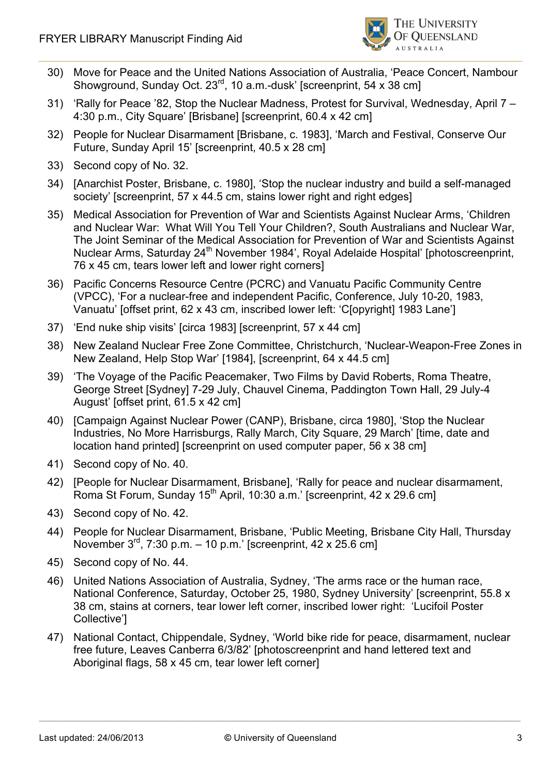

- 30) Move for Peace and the United Nations Association of Australia, 'Peace Concert, Nambour Showground, Sunday Oct. 23<sup>rd</sup>, 10 a.m.-dusk' [screenprint, 54 x 38 cm]
- 31) 'Rally for Peace '82, Stop the Nuclear Madness, Protest for Survival, Wednesday, April 7 4:30 p.m., City Square' [Brisbane] [screenprint, 60.4 x 42 cm]
- 32) People for Nuclear Disarmament [Brisbane, c. 1983], 'March and Festival, Conserve Our Future, Sunday April 15' [screenprint, 40.5 x 28 cm]
- 33) Second copy of No. 32.
- 34) [Anarchist Poster, Brisbane, c. 1980], 'Stop the nuclear industry and build a self-managed society' [screenprint, 57 x 44.5 cm, stains lower right and right edges]
- 35) Medical Association for Prevention of War and Scientists Against Nuclear Arms, 'Children and Nuclear War: What Will You Tell Your Children?, South Australians and Nuclear War, The Joint Seminar of the Medical Association for Prevention of War and Scientists Against Nuclear Arms, Saturday 24<sup>th</sup> November 1984', Royal Adelaide Hospital' [photoscreenprint, 76 x 45 cm, tears lower left and lower right corners]
- 36) Pacific Concerns Resource Centre (PCRC) and Vanuatu Pacific Community Centre (VPCC), 'For a nuclear-free and independent Pacific, Conference, July 10-20, 1983, Vanuatu' [offset print, 62 x 43 cm, inscribed lower left: 'C[opyright] 1983 Lane']
- 37) 'End nuke ship visits' [circa 1983] [screenprint, 57 x 44 cm]
- 38) New Zealand Nuclear Free Zone Committee, Christchurch, 'Nuclear-Weapon-Free Zones in New Zealand, Help Stop War' [1984], [screenprint, 64 x 44.5 cm]
- 39) 'The Voyage of the Pacific Peacemaker, Two Films by David Roberts, Roma Theatre, George Street [Sydney] 7-29 July, Chauvel Cinema, Paddington Town Hall, 29 July-4 August' [offset print, 61.5 x 42 cm]
- 40) [Campaign Against Nuclear Power (CANP), Brisbane, circa 1980], 'Stop the Nuclear Industries, No More Harrisburgs, Rally March, City Square, 29 March' [time, date and location hand printed] [screenprint on used computer paper, 56 x 38 cm]
- 41) Second copy of No. 40.
- 42) [People for Nuclear Disarmament, Brisbane], 'Rally for peace and nuclear disarmament, Roma St Forum, Sunday 15<sup>th</sup> April, 10:30 a.m.' [screenprint, 42 x 29.6 cm]
- 43) Second copy of No. 42.
- 44) People for Nuclear Disarmament, Brisbane, 'Public Meeting, Brisbane City Hall, Thursday November  $3^{rd}$ , 7:30 p.m. – 10 p.m.' [screenprint, 42 x 25.6 cm]
- 45) Second copy of No. 44.
- 46) United Nations Association of Australia, Sydney, 'The arms race or the human race, National Conference, Saturday, October 25, 1980, Sydney University' [screenprint, 55.8 x 38 cm, stains at corners, tear lower left corner, inscribed lower right: 'Lucifoil Poster Collective']
- 47) National Contact, Chippendale, Sydney, 'World bike ride for peace, disarmament, nuclear free future, Leaves Canberra 6/3/82' [photoscreenprint and hand lettered text and Aboriginal flags, 58 x 45 cm, tear lower left corner]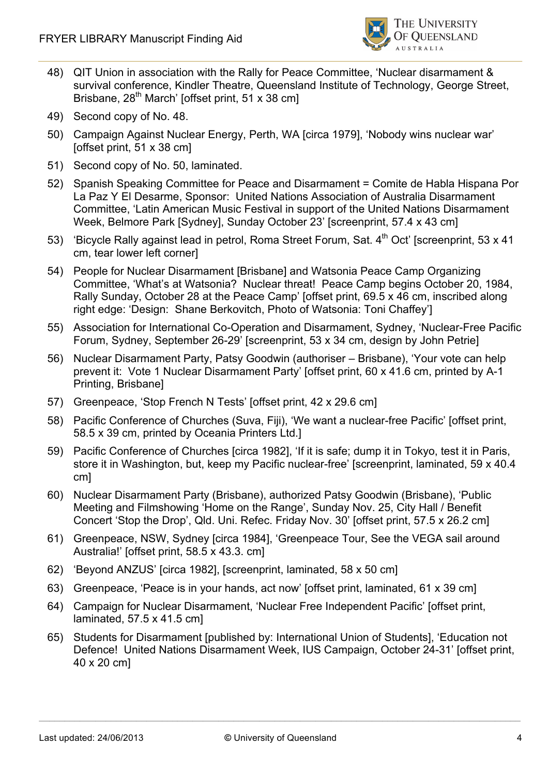

- 48) QIT Union in association with the Rally for Peace Committee, 'Nuclear disarmament & survival conference, Kindler Theatre, Queensland Institute of Technology, George Street, Brisbane,  $28^{th}$  March' [offset print, 51 x 38 cm]
- 49) Second copy of No. 48.
- 50) Campaign Against Nuclear Energy, Perth, WA [circa 1979], 'Nobody wins nuclear war' [offset print, 51 x 38 cm]
- 51) Second copy of No. 50, laminated.
- 52) Spanish Speaking Committee for Peace and Disarmament = Comite de Habla Hispana Por La Paz Y El Desarme, Sponsor: United Nations Association of Australia Disarmament Committee, 'Latin American Music Festival in support of the United Nations Disarmament Week, Belmore Park [Sydney], Sunday October 23' [screenprint, 57.4 x 43 cm]
- 53) 'Bicycle Rally against lead in petrol, Roma Street Forum, Sat. 4<sup>th</sup> Oct' [screenprint, 53 x 41] cm, tear lower left corner]
- 54) People for Nuclear Disarmament [Brisbane] and Watsonia Peace Camp Organizing Committee, 'What's at Watsonia? Nuclear threat! Peace Camp begins October 20, 1984, Rally Sunday, October 28 at the Peace Camp' [offset print, 69.5 x 46 cm, inscribed along right edge: 'Design: Shane Berkovitch, Photo of Watsonia: Toni Chaffey']
- 55) Association for International Co-Operation and Disarmament, Sydney, 'Nuclear-Free Pacific Forum, Sydney, September 26-29' [screenprint, 53 x 34 cm, design by John Petrie]
- 56) Nuclear Disarmament Party, Patsy Goodwin (authoriser Brisbane), 'Your vote can help prevent it: Vote 1 Nuclear Disarmament Party' [offset print, 60 x 41.6 cm, printed by A-1 Printing, Brisbane]
- 57) Greenpeace, 'Stop French N Tests' [offset print, 42 x 29.6 cm]
- 58) Pacific Conference of Churches (Suva, Fiji), 'We want a nuclear-free Pacific' [offset print, 58.5 x 39 cm, printed by Oceania Printers Ltd.]
- 59) Pacific Conference of Churches [circa 1982], 'If it is safe; dump it in Tokyo, test it in Paris, store it in Washington, but, keep my Pacific nuclear-free' [screenprint, laminated, 59 x 40.4 cm]
- 60) Nuclear Disarmament Party (Brisbane), authorized Patsy Goodwin (Brisbane), 'Public Meeting and Filmshowing 'Home on the Range', Sunday Nov. 25, City Hall / Benefit Concert 'Stop the Drop', Qld. Uni. Refec. Friday Nov. 30' [offset print, 57.5 x 26.2 cm]
- 61) Greenpeace, NSW, Sydney [circa 1984], 'Greenpeace Tour, See the VEGA sail around Australia!' [offset print, 58.5 x 43.3. cm]
- 62) 'Beyond ANZUS' [circa 1982], [screenprint, laminated, 58 x 50 cm]
- 63) Greenpeace, 'Peace is in your hands, act now' [offset print, laminated, 61 x 39 cm]
- 64) Campaign for Nuclear Disarmament, 'Nuclear Free Independent Pacific' [offset print, laminated, 57.5 x 41.5 cm]
- 65) Students for Disarmament [published by: International Union of Students], 'Education not Defence! United Nations Disarmament Week, IUS Campaign, October 24-31' [offset print, 40 x 20 cm]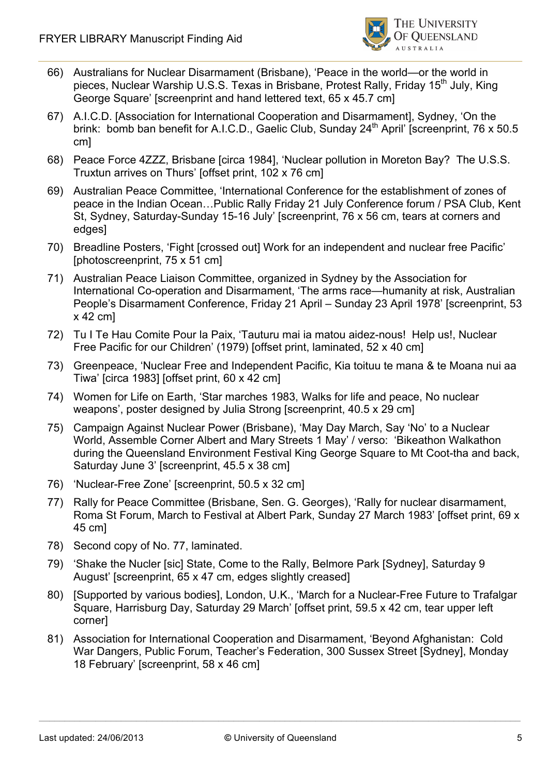

- 66) Australians for Nuclear Disarmament (Brisbane), 'Peace in the world—or the world in pieces, Nuclear Warship U.S.S. Texas in Brisbane, Protest Rally, Friday 15<sup>th</sup> July, King George Square' [screenprint and hand lettered text, 65 x 45.7 cm]
- 67) A.I.C.D. [Association for International Cooperation and Disarmament], Sydney, 'On the brink: bomb ban benefit for A.I.C.D., Gaelic Club, Sunday 24<sup>th</sup> April' [screenprint, 76 x 50.5] cm]
- 68) Peace Force 4ZZZ, Brisbane [circa 1984], 'Nuclear pollution in Moreton Bay? The U.S.S. Truxtun arrives on Thurs' [offset print, 102 x 76 cm]
- 69) Australian Peace Committee, 'International Conference for the establishment of zones of peace in the Indian Ocean…Public Rally Friday 21 July Conference forum / PSA Club, Kent St, Sydney, Saturday-Sunday 15-16 July' [screenprint, 76 x 56 cm, tears at corners and edges]
- 70) Breadline Posters, 'Fight [crossed out] Work for an independent and nuclear free Pacific' [photoscreenprint, 75 x 51 cm]
- 71) Australian Peace Liaison Committee, organized in Sydney by the Association for International Co-operation and Disarmament, 'The arms race—humanity at risk, Australian People's Disarmament Conference, Friday 21 April – Sunday 23 April 1978' [screenprint, 53 x 42 cm]
- 72) Tu I Te Hau Comite Pour la Paix, 'Tauturu mai ia matou aidez-nous! Help us!, Nuclear Free Pacific for our Children' (1979) [offset print, laminated, 52 x 40 cm]
- 73) Greenpeace, 'Nuclear Free and Independent Pacific, Kia toituu te mana & te Moana nui aa Tiwa' [circa 1983] [offset print, 60 x 42 cm]
- 74) Women for Life on Earth, 'Star marches 1983, Walks for life and peace, No nuclear weapons', poster designed by Julia Strong [screenprint, 40.5 x 29 cm]
- 75) Campaign Against Nuclear Power (Brisbane), 'May Day March, Say 'No' to a Nuclear World, Assemble Corner Albert and Mary Streets 1 May' / verso: 'Bikeathon Walkathon during the Queensland Environment Festival King George Square to Mt Coot-tha and back, Saturday June 3' [screenprint, 45.5 x 38 cm]
- 76) 'Nuclear-Free Zone' [screenprint, 50.5 x 32 cm]
- 77) Rally for Peace Committee (Brisbane, Sen. G. Georges), 'Rally for nuclear disarmament, Roma St Forum, March to Festival at Albert Park, Sunday 27 March 1983' [offset print, 69 x 45 cm]
- 78) Second copy of No. 77, laminated.
- 79) 'Shake the Nucler [sic] State, Come to the Rally, Belmore Park [Sydney], Saturday 9 August' [screenprint, 65 x 47 cm, edges slightly creased]
- 80) [Supported by various bodies], London, U.K., 'March for a Nuclear-Free Future to Trafalgar Square, Harrisburg Day, Saturday 29 March' [offset print, 59.5 x 42 cm, tear upper left corner]
- 81) Association for International Cooperation and Disarmament, 'Beyond Afghanistan: Cold War Dangers, Public Forum, Teacher's Federation, 300 Sussex Street [Sydney], Monday 18 February' [screenprint, 58 x 46 cm]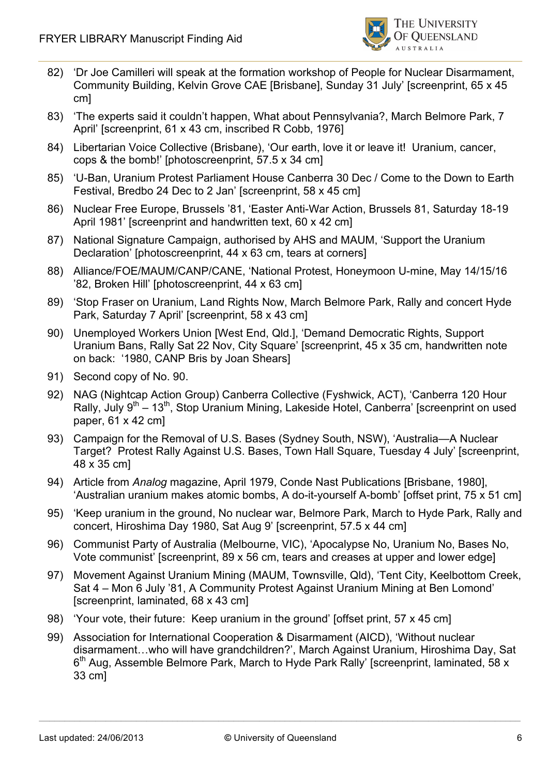

- 82) 'Dr Joe Camilleri will speak at the formation workshop of People for Nuclear Disarmament, Community Building, Kelvin Grove CAE [Brisbane], Sunday 31 July' [screenprint, 65 x 45 cm]
- 83) 'The experts said it couldn't happen, What about Pennsylvania?, March Belmore Park, 7 April' [screenprint, 61 x 43 cm, inscribed R Cobb, 1976]
- 84) Libertarian Voice Collective (Brisbane), 'Our earth, love it or leave it! Uranium, cancer, cops & the bomb!' [photoscreenprint, 57.5 x 34 cm]
- 85) 'U-Ban, Uranium Protest Parliament House Canberra 30 Dec / Come to the Down to Earth Festival, Bredbo 24 Dec to 2 Jan' [screenprint, 58 x 45 cm]
- 86) Nuclear Free Europe, Brussels '81, 'Easter Anti-War Action, Brussels 81, Saturday 18-19 April 1981' [screenprint and handwritten text, 60 x 42 cm]
- 87) National Signature Campaign, authorised by AHS and MAUM, 'Support the Uranium Declaration' [photoscreenprint, 44 x 63 cm, tears at corners]
- 88) Alliance/FOE/MAUM/CANP/CANE, 'National Protest, Honeymoon U-mine, May 14/15/16 '82, Broken Hill' [photoscreenprint, 44 x 63 cm]
- 89) 'Stop Fraser on Uranium, Land Rights Now, March Belmore Park, Rally and concert Hyde Park, Saturday 7 April' [screenprint, 58 x 43 cm]
- 90) Unemployed Workers Union [West End, Qld.], 'Demand Democratic Rights, Support Uranium Bans, Rally Sat 22 Nov, City Square' [screenprint, 45 x 35 cm, handwritten note on back: '1980, CANP Bris by Joan Shears]
- 91) Second copy of No. 90.
- 92) NAG (Nightcap Action Group) Canberra Collective (Fyshwick, ACT), 'Canberra 120 Hour Rally, July 9<sup>th</sup> – 13<sup>th</sup>, Stop Uranium Mining, Lakeside Hotel, Canberra' [screenprint on used paper, 61 x 42 cm]
- 93) Campaign for the Removal of U.S. Bases (Sydney South, NSW), 'Australia—A Nuclear Target? Protest Rally Against U.S. Bases, Town Hall Square, Tuesday 4 July' [screenprint, 48 x 35 cm]
- 94) Article from *Analog* magazine, April 1979, Conde Nast Publications [Brisbane, 1980], 'Australian uranium makes atomic bombs, A do-it-yourself A-bomb' [offset print, 75 x 51 cm]
- 95) 'Keep uranium in the ground, No nuclear war, Belmore Park, March to Hyde Park, Rally and concert, Hiroshima Day 1980, Sat Aug 9' [screenprint, 57.5 x 44 cm]
- 96) Communist Party of Australia (Melbourne, VIC), 'Apocalypse No, Uranium No, Bases No, Vote communist' [screenprint, 89 x 56 cm, tears and creases at upper and lower edge]
- 97) Movement Against Uranium Mining (MAUM, Townsville, Qld), 'Tent City, Keelbottom Creek, Sat 4 – Mon 6 July '81, A Community Protest Against Uranium Mining at Ben Lomond' [screenprint, laminated, 68 x 43 cm]
- 98) 'Your vote, their future: Keep uranium in the ground' [offset print, 57 x 45 cm]
- 99) Association for International Cooperation & Disarmament (AICD), 'Without nuclear disarmament…who will have grandchildren?', March Against Uranium, Hiroshima Day, Sat  $6<sup>th</sup>$  Aug, Assemble Belmore Park, March to Hyde Park Rally' [screenprint, laminated, 58 x 33 cm]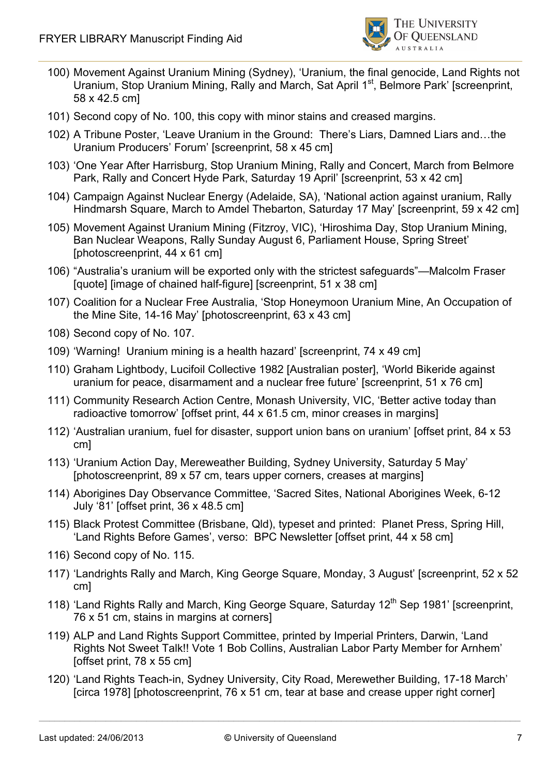

- 100) Movement Against Uranium Mining (Sydney), 'Uranium, the final genocide, Land Rights not Uranium, Stop Uranium Mining, Rally and March, Sat April 1<sup>st</sup>, Belmore Park' [screenprint, 58 x 42.5 cm]
- 101) Second copy of No. 100, this copy with minor stains and creased margins.
- 102) A Tribune Poster, 'Leave Uranium in the Ground: There's Liars, Damned Liars and…the Uranium Producers' Forum' [screenprint, 58 x 45 cm]
- 103) 'One Year After Harrisburg, Stop Uranium Mining, Rally and Concert, March from Belmore Park, Rally and Concert Hyde Park, Saturday 19 April' [screenprint, 53 x 42 cm]
- 104) Campaign Against Nuclear Energy (Adelaide, SA), 'National action against uranium, Rally Hindmarsh Square, March to Amdel Thebarton, Saturday 17 May' [screenprint, 59 x 42 cm]
- 105) Movement Against Uranium Mining (Fitzroy, VIC), 'Hiroshima Day, Stop Uranium Mining, Ban Nuclear Weapons, Rally Sunday August 6, Parliament House, Spring Street' [photoscreenprint, 44 x 61 cm]
- 106) "Australia's uranium will be exported only with the strictest safeguards"—Malcolm Fraser [quote] [image of chained half-figure] [screenprint, 51 x 38 cm]
- 107) Coalition for a Nuclear Free Australia, 'Stop Honeymoon Uranium Mine, An Occupation of the Mine Site, 14-16 May' [photoscreenprint, 63 x 43 cm]
- 108) Second copy of No. 107.
- 109) 'Warning! Uranium mining is a health hazard' [screenprint, 74 x 49 cm]
- 110) Graham Lightbody, Lucifoil Collective 1982 [Australian poster], 'World Bikeride against uranium for peace, disarmament and a nuclear free future' [screenprint, 51 x 76 cm]
- 111) Community Research Action Centre, Monash University, VIC, 'Better active today than radioactive tomorrow' [offset print, 44 x 61.5 cm, minor creases in margins]
- 112) 'Australian uranium, fuel for disaster, support union bans on uranium' [offset print, 84 x 53 cm]
- 113) 'Uranium Action Day, Mereweather Building, Sydney University, Saturday 5 May' [photoscreenprint, 89 x 57 cm, tears upper corners, creases at margins]
- 114) Aborigines Day Observance Committee, 'Sacred Sites, National Aborigines Week, 6-12 July '81' [offset print, 36 x 48.5 cm]
- 115) Black Protest Committee (Brisbane, Qld), typeset and printed: Planet Press, Spring Hill, 'Land Rights Before Games', verso: BPC Newsletter [offset print, 44 x 58 cm]
- 116) Second copy of No. 115.
- 117) 'Landrights Rally and March, King George Square, Monday, 3 August' [screenprint, 52 x 52 cm]
- 118) 'Land Rights Rally and March, King George Square, Saturday 12<sup>th</sup> Sep 1981' [screenprint, 76 x 51 cm, stains in margins at corners]
- 119) ALP and Land Rights Support Committee, printed by Imperial Printers, Darwin, 'Land Rights Not Sweet Talk!! Vote 1 Bob Collins, Australian Labor Party Member for Arnhem' [offset print, 78 x 55 cm]
- 120) 'Land Rights Teach-in, Sydney University, City Road, Merewether Building, 17-18 March' [circa 1978] [photoscreenprint, 76 x 51 cm, tear at base and crease upper right corner]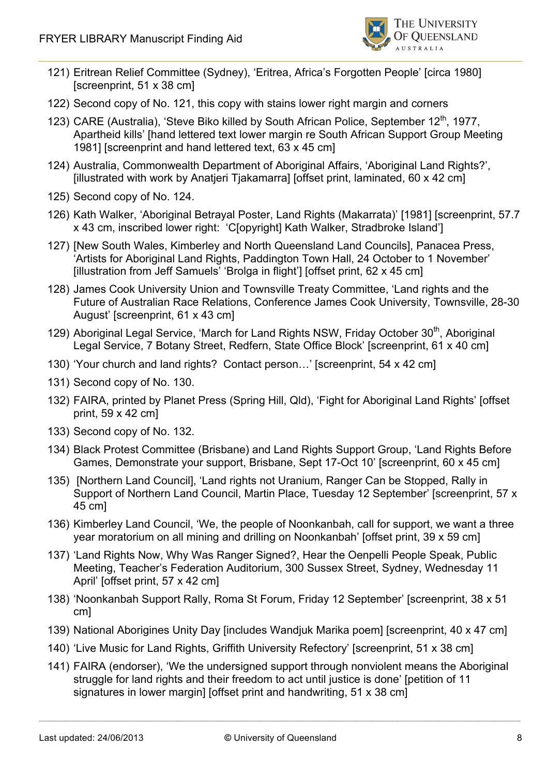

- 121) Eritrean Relief Committee (Sydney), 'Eritrea, Africa's Forgotten People' [circa 1980] [screenprint, 51 x 38 cm]
- 122) Second copy of No. 121, this copy with stains lower right margin and corners
- 123) CARE (Australia), 'Steve Biko killed by South African Police, September  $12<sup>th</sup>$ , 1977, Apartheid kills' [hand lettered text lower margin re South African Support Group Meeting 1981] [screenprint and hand lettered text, 63 x 45 cm]
- 124) Australia, Commonwealth Department of Aboriginal Affairs, 'Aboriginal Land Rights?', [illustrated with work by Anatjeri Tjakamarra] [offset print, laminated, 60 x 42 cm]
- 125) Second copy of No. 124.
- 126) Kath Walker, 'Aboriginal Betrayal Poster, Land Rights (Makarrata)' [1981] [screenprint, 57.7 x 43 cm, inscribed lower right: 'C[opyright] Kath Walker, Stradbroke Island']
- 127) [New South Wales, Kimberley and North Queensland Land Councils], Panacea Press, 'Artists for Aboriginal Land Rights, Paddington Town Hall, 24 October to 1 November' [illustration from Jeff Samuels' 'Brolga in flight'] [offset print, 62 x 45 cm]
- 128) James Cook University Union and Townsville Treaty Committee, 'Land rights and the Future of Australian Race Relations, Conference James Cook University, Townsville, 28-30 August' [screenprint, 61 x 43 cm]
- 129) Aboriginal Legal Service, 'March for Land Rights NSW, Friday October 30<sup>th</sup>, Aboriginal Legal Service, 7 Botany Street, Redfern, State Office Block' [screenprint, 61 x 40 cm]
- 130) 'Your church and land rights? Contact person…' [screenprint, 54 x 42 cm]
- 131) Second copy of No. 130.
- 132) FAIRA, printed by Planet Press (Spring Hill, Qld), 'Fight for Aboriginal Land Rights' [offset print, 59 x 42 cm]
- 133) Second copy of No. 132.
- 134) Black Protest Committee (Brisbane) and Land Rights Support Group, 'Land Rights Before Games, Demonstrate your support, Brisbane, Sept 17-Oct 10' [screenprint, 60 x 45 cm]
- 135) [Northern Land Council], 'Land rights not Uranium, Ranger Can be Stopped, Rally in Support of Northern Land Council, Martin Place, Tuesday 12 September' [screenprint, 57 x 45 cm]
- 136) Kimberley Land Council, 'We, the people of Noonkanbah, call for support, we want a three year moratorium on all mining and drilling on Noonkanbah' [offset print, 39 x 59 cm]
- 137) 'Land Rights Now, Why Was Ranger Signed?, Hear the Oenpelli People Speak, Public Meeting, Teacher's Federation Auditorium, 300 Sussex Street, Sydney, Wednesday 11 April' [offset print, 57 x 42 cm]
- 138) 'Noonkanbah Support Rally, Roma St Forum, Friday 12 September' [screenprint, 38 x 51 cm]
- 139) National Aborigines Unity Day [includes Wandjuk Marika poem] [screenprint, 40 x 47 cm]
- 140) 'Live Music for Land Rights, Griffith University Refectory' [screenprint, 51 x 38 cm]
- 141) FAIRA (endorser), 'We the undersigned support through nonviolent means the Aboriginal struggle for land rights and their freedom to act until justice is done' [petition of 11 signatures in lower margin] [offset print and handwriting, 51 x 38 cm]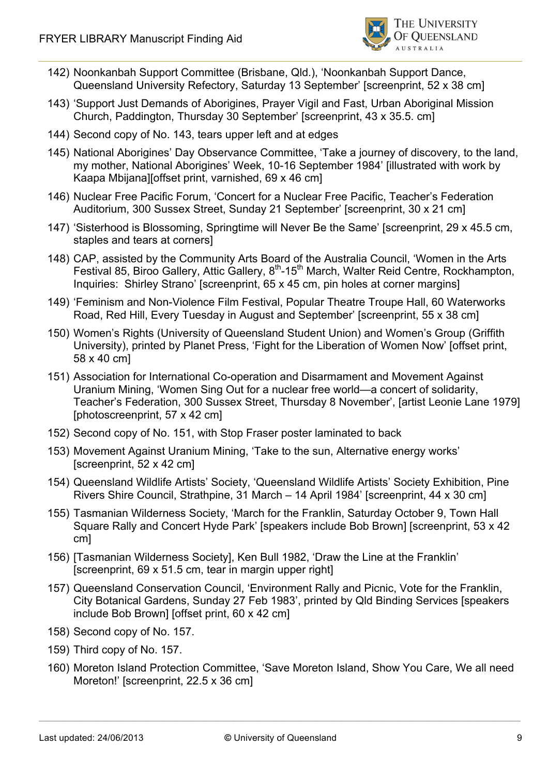

- 142) Noonkanbah Support Committee (Brisbane, Qld.), 'Noonkanbah Support Dance, Queensland University Refectory, Saturday 13 September' [screenprint, 52 x 38 cm]
- 143) 'Support Just Demands of Aborigines, Prayer Vigil and Fast, Urban Aboriginal Mission Church, Paddington, Thursday 30 September' [screenprint, 43 x 35.5. cm]
- 144) Second copy of No. 143, tears upper left and at edges
- 145) National Aborigines' Day Observance Committee, 'Take a journey of discovery, to the land, my mother, National Aborigines' Week, 10-16 September 1984' [illustrated with work by Kaapa Mbijana][offset print, varnished, 69 x 46 cm]
- 146) Nuclear Free Pacific Forum, 'Concert for a Nuclear Free Pacific, Teacher's Federation Auditorium, 300 Sussex Street, Sunday 21 September' [screenprint, 30 x 21 cm]
- 147) 'Sisterhood is Blossoming, Springtime will Never Be the Same' [screenprint, 29 x 45.5 cm, staples and tears at corners]
- 148) CAP, assisted by the Community Arts Board of the Australia Council, 'Women in the Arts Festival 85, Biroo Gallery, Attic Gallery, 8<sup>th</sup>-15<sup>th</sup> March, Walter Reid Centre, Rockhampton, Inquiries: Shirley Strano' [screenprint, 65 x 45 cm, pin holes at corner margins]
- 149) 'Feminism and Non-Violence Film Festival, Popular Theatre Troupe Hall, 60 Waterworks Road, Red Hill, Every Tuesday in August and September' [screenprint, 55 x 38 cm]
- 150) Women's Rights (University of Queensland Student Union) and Women's Group (Griffith University), printed by Planet Press, 'Fight for the Liberation of Women Now' [offset print, 58 x 40 cm]
- 151) Association for International Co-operation and Disarmament and Movement Against Uranium Mining, 'Women Sing Out for a nuclear free world—a concert of solidarity, Teacher's Federation, 300 Sussex Street, Thursday 8 November', [artist Leonie Lane 1979] [photoscreenprint, 57 x 42 cm]
- 152) Second copy of No. 151, with Stop Fraser poster laminated to back
- 153) Movement Against Uranium Mining, 'Take to the sun, Alternative energy works' [screenprint, 52 x 42 cm]
- 154) Queensland Wildlife Artists' Society, 'Queensland Wildlife Artists' Society Exhibition, Pine Rivers Shire Council, Strathpine, 31 March – 14 April 1984' [screenprint, 44 x 30 cm]
- 155) Tasmanian Wilderness Society, 'March for the Franklin, Saturday October 9, Town Hall Square Rally and Concert Hyde Park' [speakers include Bob Brown] [screenprint, 53 x 42 cm]
- 156) [Tasmanian Wilderness Society], Ken Bull 1982, 'Draw the Line at the Franklin' [screenprint, 69 x 51.5 cm, tear in margin upper right]
- 157) Queensland Conservation Council, 'Environment Rally and Picnic, Vote for the Franklin, City Botanical Gardens, Sunday 27 Feb 1983', printed by Qld Binding Services [speakers include Bob Brown] [offset print, 60 x 42 cm]
- 158) Second copy of No. 157.
- 159) Third copy of No. 157.
- 160) Moreton Island Protection Committee, 'Save Moreton Island, Show You Care, We all need Moreton!' [screenprint, 22.5 x 36 cm]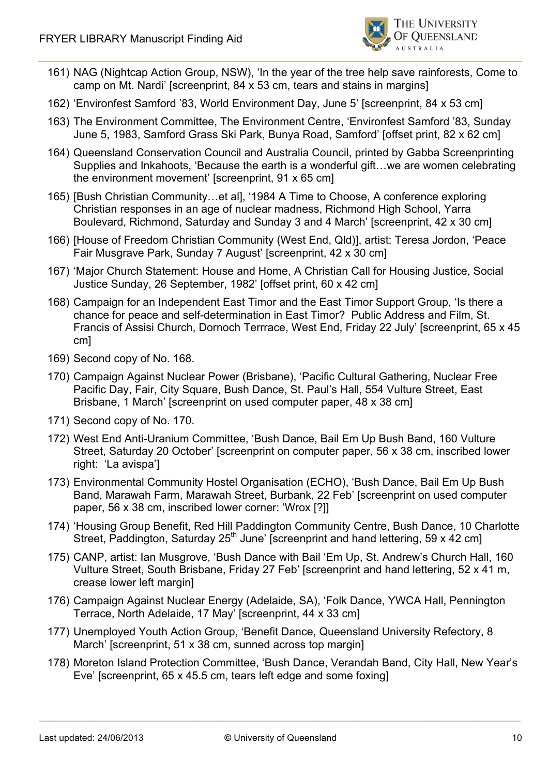

- 161) NAG (Nightcap Action Group, NSW), 'In the year of the tree help save rainforests, Come to camp on Mt. Nardi' [screenprint, 84 x 53 cm, tears and stains in margins]
- 162) 'Environfest Samford '83, World Environment Day, June 5' [screenprint, 84 x 53 cm]
- 163) The Environment Committee, The Environment Centre, 'Environfest Samford '83, Sunday June 5, 1983, Samford Grass Ski Park, Bunya Road, Samford' [offset print, 82 x 62 cm]
- 164) Queensland Conservation Council and Australia Council, printed by Gabba Screenprinting Supplies and Inkahoots, 'Because the earth is a wonderful gift…we are women celebrating the environment movement' [screenprint, 91 x 65 cm]
- 165) [Bush Christian Community…et al], '1984 A Time to Choose, A conference exploring Christian responses in an age of nuclear madness, Richmond High School, Yarra Boulevard, Richmond, Saturday and Sunday 3 and 4 March' [screenprint, 42 x 30 cm]
- 166) [House of Freedom Christian Community (West End, Qld)], artist: Teresa Jordon, 'Peace Fair Musgrave Park, Sunday 7 August' [screenprint, 42 x 30 cm]
- 167) 'Major Church Statement: House and Home, A Christian Call for Housing Justice, Social Justice Sunday, 26 September, 1982' [offset print, 60 x 42 cm]
- 168) Campaign for an Independent East Timor and the East Timor Support Group, 'Is there a chance for peace and self-determination in East Timor? Public Address and Film, St. Francis of Assisi Church, Dornoch Terrrace, West End, Friday 22 July' [screenprint, 65 x 45 cm]
- 169) Second copy of No. 168.
- 170) Campaign Against Nuclear Power (Brisbane), 'Pacific Cultural Gathering, Nuclear Free Pacific Day, Fair, City Square, Bush Dance, St. Paul's Hall, 554 Vulture Street, East Brisbane, 1 March' [screenprint on used computer paper, 48 x 38 cm]
- 171) Second copy of No. 170.
- 172) West End Anti-Uranium Committee, 'Bush Dance, Bail Em Up Bush Band, 160 Vulture Street, Saturday 20 October' [screenprint on computer paper, 56 x 38 cm, inscribed lower right: 'La avispa']
- 173) Environmental Community Hostel Organisation (ECHO), 'Bush Dance, Bail Em Up Bush Band, Marawah Farm, Marawah Street, Burbank, 22 Feb' [screenprint on used computer paper, 56 x 38 cm, inscribed lower corner: 'Wrox [?]]
- 174) 'Housing Group Benefit, Red Hill Paddington Community Centre, Bush Dance, 10 Charlotte Street, Paddington, Saturday  $25<sup>th</sup>$  June' [screenprint and hand lettering, 59 x 42 cm]
- 175) CANP, artist: Ian Musgrove, 'Bush Dance with Bail 'Em Up, St. Andrew's Church Hall, 160 Vulture Street, South Brisbane, Friday 27 Feb' [screenprint and hand lettering, 52 x 41 m, crease lower left margin]
- 176) Campaign Against Nuclear Energy (Adelaide, SA), 'Folk Dance, YWCA Hall, Pennington Terrace, North Adelaide, 17 May' [screenprint, 44 x 33 cm]
- 177) Unemployed Youth Action Group, 'Benefit Dance, Queensland University Refectory, 8 March' [screenprint, 51 x 38 cm, sunned across top margin]
- 178) Moreton Island Protection Committee, 'Bush Dance, Verandah Band, City Hall, New Year's Eve' [screenprint, 65 x 45.5 cm, tears left edge and some foxing]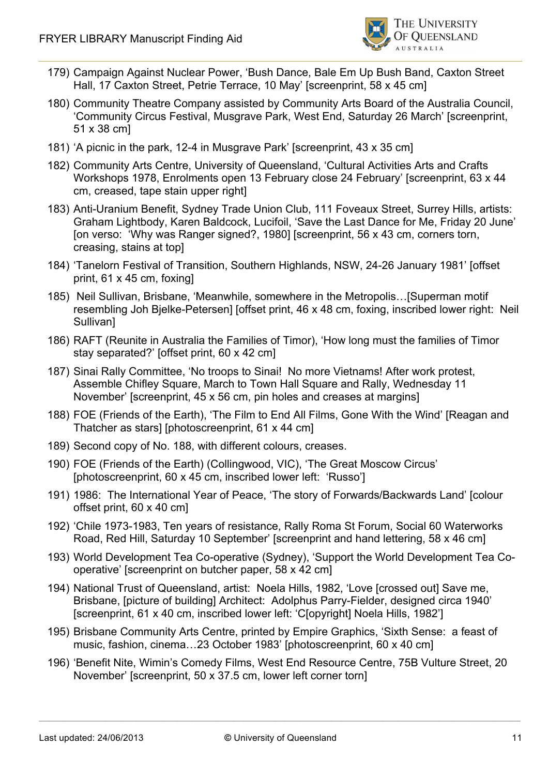

- 179) Campaign Against Nuclear Power, 'Bush Dance, Bale Em Up Bush Band, Caxton Street Hall, 17 Caxton Street, Petrie Terrace, 10 May' [screenprint, 58 x 45 cm]
- 180) Community Theatre Company assisted by Community Arts Board of the Australia Council, 'Community Circus Festival, Musgrave Park, West End, Saturday 26 March' [screenprint, 51 x 38 cm]
- 181) 'A picnic in the park, 12-4 in Musgrave Park' [screenprint, 43 x 35 cm]
- 182) Community Arts Centre, University of Queensland, 'Cultural Activities Arts and Crafts Workshops 1978, Enrolments open 13 February close 24 February' [screenprint, 63 x 44 cm, creased, tape stain upper right]
- 183) Anti-Uranium Benefit, Sydney Trade Union Club, 111 Foveaux Street, Surrey Hills, artists: Graham Lightbody, Karen Baldcock, Lucifoil, 'Save the Last Dance for Me, Friday 20 June' [on verso: 'Why was Ranger signed?, 1980] [screenprint, 56 x 43 cm, corners torn, creasing, stains at top]
- 184) 'Tanelorn Festival of Transition, Southern Highlands, NSW, 24-26 January 1981' [offset print, 61 x 45 cm, foxing]
- 185) Neil Sullivan, Brisbane, 'Meanwhile, somewhere in the Metropolis…[Superman motif resembling Joh Bjelke-Petersen] [offset print, 46 x 48 cm, foxing, inscribed lower right: Neil Sullivan]
- 186) RAFT (Reunite in Australia the Families of Timor), 'How long must the families of Timor stay separated?' [offset print, 60 x 42 cm]
- 187) Sinai Rally Committee, 'No troops to Sinai! No more Vietnams! After work protest, Assemble Chifley Square, March to Town Hall Square and Rally, Wednesday 11 November' [screenprint, 45 x 56 cm, pin holes and creases at margins]
- 188) FOE (Friends of the Earth), 'The Film to End All Films, Gone With the Wind' [Reagan and Thatcher as stars] [photoscreenprint, 61 x 44 cm]
- 189) Second copy of No. 188, with different colours, creases.
- 190) FOE (Friends of the Earth) (Collingwood, VIC), 'The Great Moscow Circus' [photoscreenprint, 60 x 45 cm, inscribed lower left: 'Russo']
- 191) 1986: The International Year of Peace, 'The story of Forwards/Backwards Land' [colour offset print, 60 x 40 cm]
- 192) 'Chile 1973-1983, Ten years of resistance, Rally Roma St Forum, Social 60 Waterworks Road, Red Hill, Saturday 10 September' [screenprint and hand lettering, 58 x 46 cm]
- 193) World Development Tea Co-operative (Sydney), 'Support the World Development Tea Cooperative' [screenprint on butcher paper, 58 x 42 cm]
- 194) National Trust of Queensland, artist: Noela Hills, 1982, 'Love [crossed out] Save me, Brisbane, [picture of building] Architect: Adolphus Parry-Fielder, designed circa 1940' [screenprint, 61 x 40 cm, inscribed lower left: 'C[opyright] Noela Hills, 1982']
- 195) Brisbane Community Arts Centre, printed by Empire Graphics, 'Sixth Sense: a feast of music, fashion, cinema…23 October 1983' [photoscreenprint, 60 x 40 cm]
- 196) 'Benefit Nite, Wimin's Comedy Films, West End Resource Centre, 75B Vulture Street, 20 November' [screenprint, 50 x 37.5 cm, lower left corner torn]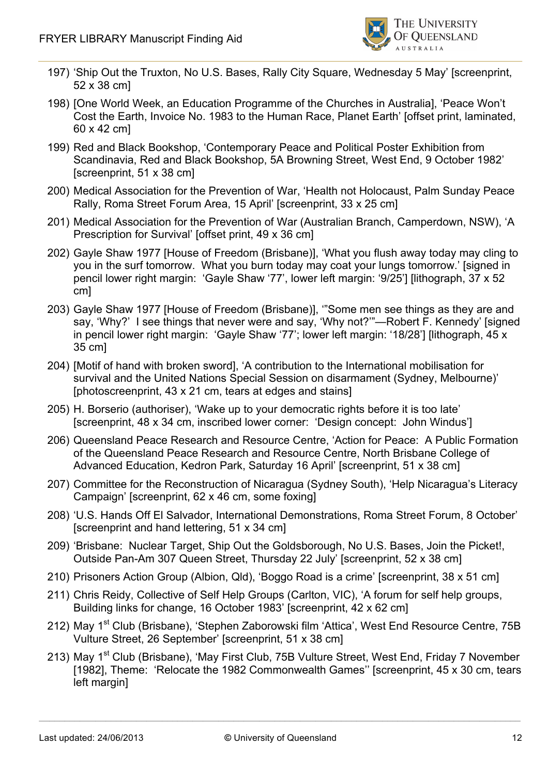

- 197) 'Ship Out the Truxton, No U.S. Bases, Rally City Square, Wednesday 5 May' [screenprint, 52 x 38 cm]
- 198) [One World Week, an Education Programme of the Churches in Australia], 'Peace Won't Cost the Earth, Invoice No. 1983 to the Human Race, Planet Earth' [offset print, laminated, 60 x 42 cm]
- 199) Red and Black Bookshop, 'Contemporary Peace and Political Poster Exhibition from Scandinavia, Red and Black Bookshop, 5A Browning Street, West End, 9 October 1982' [screenprint, 51 x 38 cm]
- 200) Medical Association for the Prevention of War, 'Health not Holocaust, Palm Sunday Peace Rally, Roma Street Forum Area, 15 April' [screenprint, 33 x 25 cm]
- 201) Medical Association for the Prevention of War (Australian Branch, Camperdown, NSW), 'A Prescription for Survival' [offset print, 49 x 36 cm]
- 202) Gayle Shaw 1977 [House of Freedom (Brisbane)], 'What you flush away today may cling to you in the surf tomorrow. What you burn today may coat your lungs tomorrow.' [signed in pencil lower right margin: 'Gayle Shaw '77', lower left margin: '9/25'] [lithograph, 37 x 52 cm]
- 203) Gayle Shaw 1977 [House of Freedom (Brisbane)], '"Some men see things as they are and say, 'Why?' I see things that never were and say, 'Why not?'"—Robert F. Kennedy' [signed in pencil lower right margin: 'Gayle Shaw '77'; lower left margin: '18/28'] [lithograph, 45 x 35 cm]
- 204) [Motif of hand with broken sword], 'A contribution to the International mobilisation for survival and the United Nations Special Session on disarmament (Sydney, Melbourne)' [photoscreenprint, 43 x 21 cm, tears at edges and stains]
- 205) H. Borserio (authoriser), 'Wake up to your democratic rights before it is too late' [screenprint, 48 x 34 cm, inscribed lower corner: 'Design concept: John Windus']
- 206) Queensland Peace Research and Resource Centre, 'Action for Peace: A Public Formation of the Queensland Peace Research and Resource Centre, North Brisbane College of Advanced Education, Kedron Park, Saturday 16 April' [screenprint, 51 x 38 cm]
- 207) Committee for the Reconstruction of Nicaragua (Sydney South), 'Help Nicaragua's Literacy Campaign' [screenprint, 62 x 46 cm, some foxing]
- 208) 'U.S. Hands Off El Salvador, International Demonstrations, Roma Street Forum, 8 October' [screenprint and hand lettering, 51 x 34 cm]
- 209) 'Brisbane: Nuclear Target, Ship Out the Goldsborough, No U.S. Bases, Join the Picket!, Outside Pan-Am 307 Queen Street, Thursday 22 July' [screenprint, 52 x 38 cm]
- 210) Prisoners Action Group (Albion, Qld), 'Boggo Road is a crime' [screenprint, 38 x 51 cm]
- 211) Chris Reidy, Collective of Self Help Groups (Carlton, VIC), 'A forum for self help groups, Building links for change, 16 October 1983' [screenprint, 42 x 62 cm]
- 212) May 1<sup>st</sup> Club (Brisbane), 'Stephen Zaborowski film 'Attica', West End Resource Centre, 75B Vulture Street, 26 September' [screenprint, 51 x 38 cm]
- 213) May 1<sup>st</sup> Club (Brisbane), 'May First Club, 75B Vulture Street, West End, Friday 7 November [1982], Theme: 'Relocate the 1982 Commonwealth Games'' [screenprint, 45 x 30 cm, tears left margin]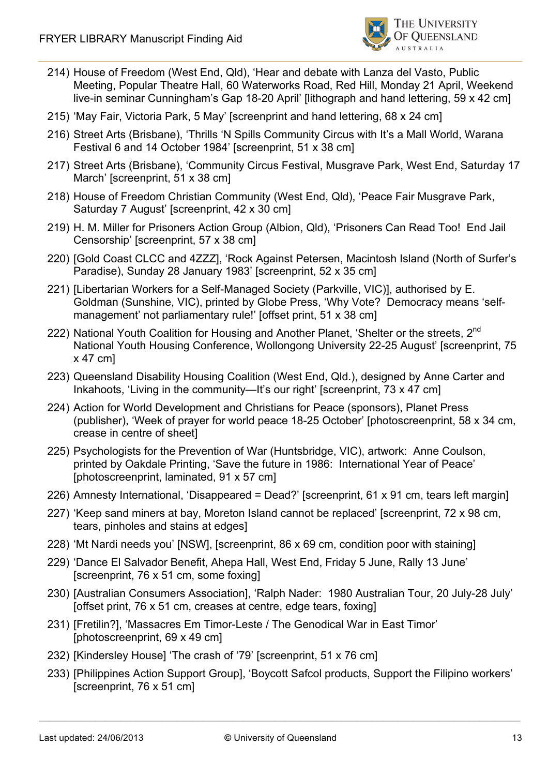

- 214) House of Freedom (West End, Qld), 'Hear and debate with Lanza del Vasto, Public Meeting, Popular Theatre Hall, 60 Waterworks Road, Red Hill, Monday 21 April, Weekend live-in seminar Cunningham's Gap 18-20 April' [lithograph and hand lettering, 59 x 42 cm]
- 215) 'May Fair, Victoria Park, 5 May' [screenprint and hand lettering, 68 x 24 cm]
- 216) Street Arts (Brisbane), 'Thrills 'N Spills Community Circus with It's a Mall World, Warana Festival 6 and 14 October 1984' [screenprint, 51 x 38 cm]
- 217) Street Arts (Brisbane), 'Community Circus Festival, Musgrave Park, West End, Saturday 17 March' [screenprint, 51 x 38 cm]
- 218) House of Freedom Christian Community (West End, Qld), 'Peace Fair Musgrave Park, Saturday 7 August' [screenprint, 42 x 30 cm]
- 219) H. M. Miller for Prisoners Action Group (Albion, Qld), 'Prisoners Can Read Too! End Jail Censorship' [screenprint, 57 x 38 cm]
- 220) [Gold Coast CLCC and 4ZZZ], 'Rock Against Petersen, Macintosh Island (North of Surfer's Paradise), Sunday 28 January 1983' [screenprint, 52 x 35 cm]
- 221) [Libertarian Workers for a Self-Managed Society (Parkville, VIC)], authorised by E. Goldman (Sunshine, VIC), printed by Globe Press, 'Why Vote? Democracy means 'selfmanagement' not parliamentary rule!' [offset print, 51 x 38 cm]
- 222) National Youth Coalition for Housing and Another Planet, 'Shelter or the streets, 2<sup>nd</sup> National Youth Housing Conference, Wollongong University 22-25 August' [screenprint, 75 x 47 cm]
- 223) Queensland Disability Housing Coalition (West End, Qld.), designed by Anne Carter and Inkahoots, 'Living in the community—It's our right' [screenprint, 73 x 47 cm]
- 224) Action for World Development and Christians for Peace (sponsors), Planet Press (publisher), 'Week of prayer for world peace 18-25 October' [photoscreenprint, 58 x 34 cm, crease in centre of sheet]
- 225) Psychologists for the Prevention of War (Huntsbridge, VIC), artwork: Anne Coulson, printed by Oakdale Printing, 'Save the future in 1986: International Year of Peace' [photoscreenprint, laminated, 91 x 57 cm]
- 226) Amnesty International, 'Disappeared = Dead?' [screenprint, 61 x 91 cm, tears left margin]
- 227) 'Keep sand miners at bay, Moreton Island cannot be replaced' [screenprint, 72 x 98 cm, tears, pinholes and stains at edges]
- 228) 'Mt Nardi needs you' [NSW], [screenprint, 86 x 69 cm, condition poor with staining]
- 229) 'Dance El Salvador Benefit, Ahepa Hall, West End, Friday 5 June, Rally 13 June' [screenprint, 76 x 51 cm, some foxing]
- 230) [Australian Consumers Association], 'Ralph Nader: 1980 Australian Tour, 20 July-28 July' [offset print, 76 x 51 cm, creases at centre, edge tears, foxing]
- 231) [Fretilin?], 'Massacres Em Timor-Leste / The Genodical War in East Timor' [photoscreenprint, 69 x 49 cm]
- 232) [Kindersley House] 'The crash of '79' [screenprint, 51 x 76 cm]
- 233) [Philippines Action Support Group], 'Boycott Safcol products, Support the Filipino workers' [screenprint, 76 x 51 cm]